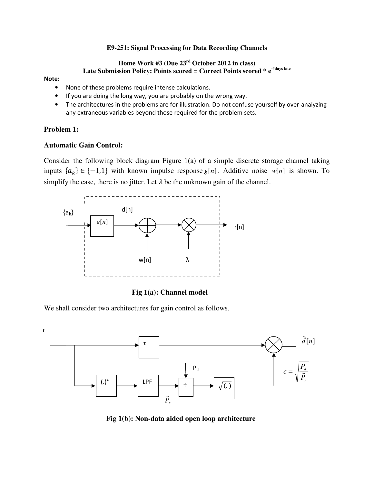#### **E9-251: Signal Processing for Data Recording Channels**

# **Home Work #3 (Due 23rd October 2012 in class)**  Late Submission Policy: Points scored = Correct Points scored \* e<sup>#days late</sup>

#### Note:

- None of these problems require intense calculations.
- If you are doing the long way, you are probably on the wrong way.
- The architectures in the problems are for illustration. Do not confuse yourself by over-analyzing any extraneous variables beyond those required for the problem sets.

### **Problem 1:**

# **Automatic Gain Control:**

Consider the following block diagram Figure 1(a) of a simple discrete storage channel taking inputs  ${a_k}$  ∈ {-1,1} with known impulse response *g*[*n*]. Additive noise *w*[*n*] is shown. To simplify the case, there is no jitter. Let  $\lambda$  be the unknown gain of the channel.



**Fig 1(a): Channel model** 

We shall consider two architectures for gain control as follows.



 **Fig 1(b): Non-data aided open loop architecture**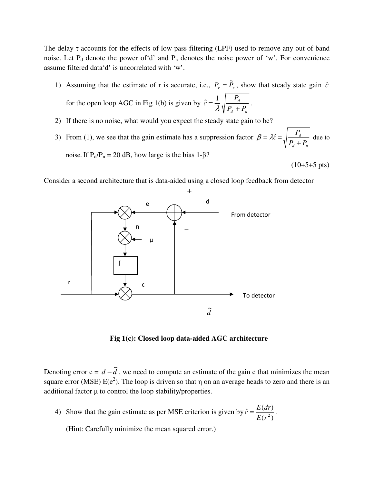The delay  $\tau$  accounts for the effects of low pass filtering (LPF) used to remove any out of band noise. Let  $P_d$  denote the power of 'd' and  $P_n$  denotes the noise power of 'w'. For convenience assume filtered data'd' is uncorrelated with 'w'.

1) Assuming that the estimate of r is accurate, i.e.,  $P_r = \tilde{P}_r$ , show that steady state gain  $\hat{c}$ for the open loop AGC in Fig 1(b) is given by *d*  $P_{d} + P_{d}$ *P c* +  $=\frac{1}{\lambda}$  $\hat{c} = \frac{1}{2} \sqrt{\frac{P_d}{P_{\text{max}} P_{\text{max}}}}$ .

*d n*

 $(10+5+5 \text{ pts})$ 

- 2) If there is no noise, what would you expect the steady state gain to be?
- 3) From (1), we see that the gain estimate has a suppression factor  $\beta = \lambda \hat{c}$  = *d n d*  $P_{d} + P_{l}$ *P* + due to noise. If  $P_d/P_n = 20$  dB, how large is the bias 1-β?

Consider a second architecture that is data-aided using a closed loop feedback from detector



**Fig 1(c): Closed loop data-aided AGC architecture** 

Denoting error  $e = d - \tilde{d}$ , we need to compute an estimate of the gain c that minimizes the mean square error (MSE)  $E(e^2)$ . The loop is driven so that  $\eta$  on an average heads to zero and there is an additional factor  $\mu$  to control the loop stability/properties.

4) Show that the gain estimate as per MSE criterion is given by  $(r^2)$  $\hat{c} = \frac{E(dr)}{1 + r^2}$  $E(r^2)$  $\hat{c} = \frac{E(dr)}{E(a^2)}$ .

(Hint: Carefully minimize the mean squared error.)